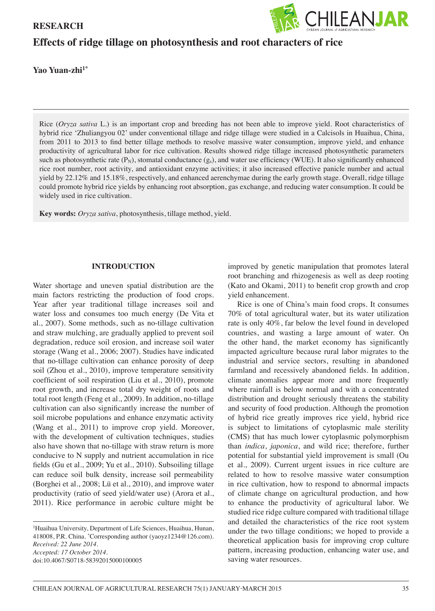## **RESEARCH**



# **Effects of ridge tillage on photosynthesis and root characters of rice**

Yao Yuan-zhi<sup>1\*</sup>

Rice (*Oryza sativa* L.) is an important crop and breeding has not been able to improve yield. Root characteristics of hybrid rice 'Zhuliangyou 02' under conventional tillage and ridge tillage were studied in a Calcisols in Huaihua, China, from 2011 to 2013 to find better tillage methods to resolve massive water consumption, improve yield, and enhance productivity of agricultural labor for rice cultivation. Results showed ridge tillage increased photosynthetic parameters such as photosynthetic rate  $(P_N)$ , stomatal conductance  $(g_s)$ , and water use efficiency (WUE). It also significantly enhanced rice root number, root activity, and antioxidant enzyme activities; it also increased effective panicle number and actual yield by 22.12% and 15.18%, respectively, and enhanced aerenchymae during the early growth stage. Overall, ridge tillage could promote hybrid rice yields by enhancing root absorption, gas exchange, and reducing water consumption. It could be widely used in rice cultivation.

**Key words:** *Oryza sativa*, photosynthesis, tillage method, yield.

#### **INTRODUCTION**

Water shortage and uneven spatial distribution are the main factors restricting the production of food crops. Year after year traditional tillage increases soil and water loss and consumes too much energy (De Vita et al., 2007). Some methods, such as no-tillage cultivation and straw mulching, are gradually applied to prevent soil degradation, reduce soil erosion, and increase soil water storage (Wang et al., 2006; 2007). Studies have indicated that no-tillage cultivation can enhance porosity of deep soil (Zhou et al., 2010), improve temperature sensitivity coefficient of soil respiration (Liu et al., 2010), promote root growth, and increase total dry weight of roots and total root length (Feng et al., 2009). In addition, no-tillage cultivation can also significantly increase the number of soil microbe populations and enhance enzymatic activity (Wang et al., 2011) to improve crop yield. Moreover, with the development of cultivation techniques, studies also have shown that no-tillage with straw return is more conducive to N supply and nutrient accumulation in rice fields (Gu et al., 2009; Yu et al., 2010). Subsoiling tillage can reduce soil bulk density, increase soil permeability (Borghei et al., 2008; Lü et al., 2010), and improve water productivity (ratio of seed yield/water use) (Arora et al., 2011). Rice performance in aerobic culture might be

1 Huaihua University, Department of Life Sciences, Huaihua, Hunan, 418008, P.R. China. \* Corresponding author (yaoyz1234@126.com). *Received: 22 June 2014. Accepted: 17 October 2014.* doi:10.4067/S0718-58392015000100005

improved by genetic manipulation that promotes lateral root branching and rhizogenesis as well as deep rooting (Kato and Okami, 2011) to benefit crop growth and crop yield enhancement.

Rice is one of China's main food crops. It consumes 70% of total agricultural water, but its water utilization rate is only 40%, far below the level found in developed countries, and wasting a large amount of water. On the other hand, the market economy has significantly impacted agriculture because rural labor migrates to the industrial and service sectors, resulting in abandoned farmland and recessively abandoned fields. In addition, climate anomalies appear more and more frequently where rainfall is below normal and with a concentrated distribution and drought seriously threatens the stability and security of food production. Although the promotion of hybrid rice greatly improves rice yield, hybrid rice is subject to limitations of cytoplasmic male sterility (CMS) that has much lower cytoplasmic polymorphism than *indica*, *japonica*, and wild rice; therefore, further potential for substantial yield improvement is small (Ou et al., 2009). Current urgent issues in rice culture are related to how to resolve massive water consumption in rice cultivation, how to respond to abnormal impacts of climate change on agricultural production, and how to enhance the productivity of agricultural labor. We studied rice ridge culture compared with traditional tillage and detailed the characteristics of the rice root system under the two tillage conditions; we hoped to provide a theoretical application basis for improving crop culture pattern, increasing production, enhancing water use, and saving water resources.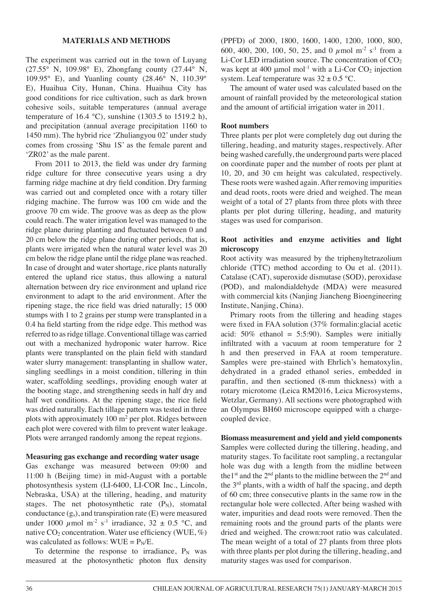### **MATERIALS AND METHODS**

The experiment was carried out in the town of Luyang  $(27.55^{\circ} \text{ N}, 109.98^{\circ} \text{ E})$ , Zhongfang county  $(27.44^{\circ} \text{ N},$ 109.95° E), and Yuanling county (28.46° N, 110.39° E), Huaihua City, Hunan, China. Huaihua City has good conditions for rice cultivation, such as dark brown cohesive soils, suitable temperatures (annual average temperature of 16.4 °C), sunshine (1303.5 to 1519.2 h), and precipitation (annual average precipitation 1160 to 1450 mm). The hybrid rice 'Zhuliangyou 02' under study comes from crossing 'Shu 1S' as the female parent and 'ZR02' as the male parent.

From 2011 to 2013, the field was under dry farming ridge culture for three consecutive years using a dry farming ridge machine at dry field condition. Dry farming was carried out and completed once with a rotary tiller ridging machine. The furrow was 100 cm wide and the groove 70 cm wide. The groove was as deep as the plow could reach. The water irrigation level was managed to the ridge plane during planting and fluctuated between 0 and 20 cm below the ridge plane during other periods, that is, plants were irrigated when the natural water level was 20 cm below the ridge plane until the ridge plane was reached. In case of drought and water shortage, rice plants naturally entered the upland rice status, thus allowing a natural alternation between dry rice environment and upland rice environment to adapt to the arid environment. After the ripening stage, the rice field was dried naturally; 15 000 stumps with 1 to 2 grains per stump were transplanted in a 0.4 ha field starting from the ridge edge. This method was referred to as ridge tillage. Conventional tillage was carried out with a mechanized hydroponic water harrow. Rice plants were transplanted on the plain field with standard water slurry management: transplanting in shallow water, singling seedlings in a moist condition, tillering in thin water, scaffolding seedlings, providing enough water at the booting stage, and strengthening seeds in half dry and half wet conditions. At the ripening stage, the rice field was dried naturally. Each tillage pattern was tested in three plots with approximately  $100 \text{ m}^2$  per plot. Ridges between each plot were covered with film to prevent water leakage. Plots were arranged randomly among the repeat regions.

### **Measuring gas exchange and recording water usage**

Gas exchange was measured between 09:00 and 11:00 h (Beijing time) in mid-August with a portable photosynthesis system (LI-6400, LI-COR Inc., Lincoln, Nebraska, USA) at the tillering, heading, and maturity stages. The net photosynthetic rate  $(P_N)$ , stomatal conductance (gs), and transpiration rate (E) were measured under 1000  $\mu$ mol m<sup>-2</sup> s<sup>-1</sup> irradiance, 32  $\pm$  0.5 °C, and native  $CO_2$  concentration. Water use efficiency (WUE,  $\%$ ) was calculated as follows:  $WUE = P<sub>N</sub>/E$ .

To determine the response to irradiance,  $P_N$  was measured at the photosynthetic photon flux density

(PPFD) of 2000, 1800, 1600, 1400, 1200, 1000, 800, 600, 400, 200, 100, 50, 25, and 0  $\mu$ mol m<sup>-2</sup> s<sup>-1</sup> from a Li-Cor LED irradiation source. The concentration of  $CO<sub>2</sub>$ was kept at 400  $\mu$ mol mol<sup>-1</sup> with a Li-Cor CO<sub>2</sub> injection system. Leaf temperature was  $32 \pm 0.5$  °C.

The amount of water used was calculated based on the amount of rainfall provided by the meteorological station and the amount of artificial irrigation water in 2011.

### **Root numbers**

Three plants per plot were completely dug out during the tillering, heading, and maturity stages, respectively. After being washed carefully, the underground parts were placed on coordinate paper and the number of roots per plant at 10, 20, and 30 cm height was calculated, respectively. These roots were washed again. After removing impurities and dead roots, roots were dried and weighed. The mean weight of a total of 27 plants from three plots with three plants per plot during tillering, heading, and maturity stages was used for comparison.

## **Root activities and enzyme activities and light microscopy**

Root activity was measured by the triphenyltetrazolium chloride (TTC) method according to Ou et al. (2011). Catalase (CAT), superoxide dismutase (SOD), peroxidase (POD), and malondialdehyde (MDA) were measured with commercial kits (Nanjing Jiancheng Bioengineering Institute, Nanjing, China).

Primary roots from the tillering and heading stages were fixed in FAA solution (37% formalin:glacial acetic acid:  $50\%$  ethanol = 5:5:90). Samples were initially infiltrated with a vacuum at room temperature for 2 h and then preserved in FAA at room temperature. Samples were pre-stained with Ehrlich's hematoxylin, dehydrated in a graded ethanol series, embedded in paraffin, and then sectioned (8-mm thickness) with a rotary microtome (Leica RM2016, Leica Microsystems, Wetzlar, Germany). All sections were photographed with an Olympus BH60 microscope equipped with a chargecoupled device.

## **Biomass measurement and yield and yield components**

Samples were collected during the tillering, heading, and maturity stages. To facilitate root sampling, a rectangular hole was dug with a length from the midline between the 1<sup>st</sup> and the  $2<sup>nd</sup>$  plants to the midline between the  $2<sup>nd</sup>$  and the 3rd plants, with a width of half the spacing, and depth of 60 cm; three consecutive plants in the same row in the rectangular hole were collected. After being washed with water, impurities and dead roots were removed. Then the remaining roots and the ground parts of the plants were dried and weighed. The crown:root ratio was calculated. The mean weight of a total of 27 plants from three plots with three plants per plot during the tillering, heading, and maturity stages was used for comparison.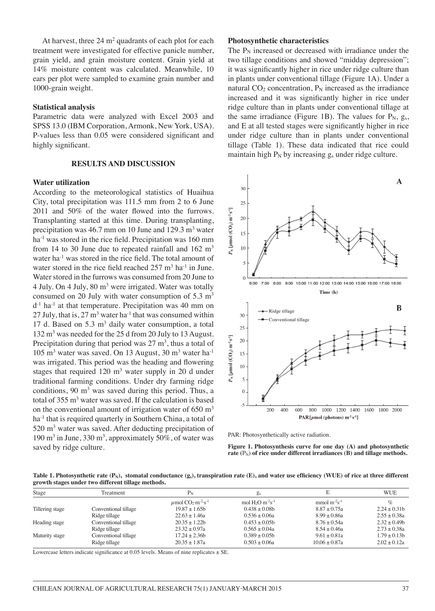At harvest, three  $24 \text{ m}^2$  quadrants of each plot for each treatment were investigated for effective panicle number, grain yield, and grain moisture content. Grain yield at 14% moisture content was calculated. Meanwhile, 10 ears per plot were sampled to examine grain number and 1000-grain weight.

### **Statistical analysis**

Parametric data were analyzed with Excel 2003 and SPSS 13.0 (IBM Corporation, Armonk, New York, USA). P-values less than 0.05 were considered significant and highly significant.

#### **RESULTS AND DISCUSSION**

#### **Water utilization**

According to the meteorological statistics of Huaihua City, total precipitation was 111.5 mm from 2 to 6 June 2011 and 50% of the water flowed into the furrows. Transplanting started at this time. During transplanting, precipitation was  $46.7$  mm on 10 June and  $129.3$  m<sup>3</sup> water ha<sup>-1</sup> was stored in the rice field. Precipitation was 160 mm from 14 to 30 June due to repeated rainfall and  $162 \text{ m}^3$ water ha<sup>-1</sup> was stored in the rice field. The total amount of water stored in the rice field reached  $257 \text{ m}^3 \text{ ha}^{-1}$  in June. Water stored in the furrows was consumed from 20 June to 4 July. On 4 July, 80 m<sup>3</sup> were irrigated. Water was totally consumed on 20 July with water consumption of  $5.3 \text{ m}^3$  $d^{-1}$  ha<sup>-1</sup> at that temperature. Precipitation was 40 mm on 27 July, that is,  $27 \text{ m}^3$  water ha<sup>-1</sup> that was consumed within 17 d. Based on  $5.3 \text{ m}^3$  daily water consumption, a total 132 m<sup>3</sup> was needed for the 25 d from 20 July to 13 August. Precipitation during that period was  $27 \text{ m}^3$ , thus a total of 105 m<sup>3</sup> water was saved. On 13 August, 30 m<sup>3</sup> water ha<sup>-1</sup> was irrigated. This period was the heading and flowering stages that required  $120 \text{ m}^3$  water supply in 20 d under traditional farming conditions. Under dry farming ridge conditions,  $90 \text{ m}^3$  was saved during this period. Thus, a total of  $355 \text{ m}^3$  water was saved. If the calculation is based on the conventional amount of irrigation water of  $650 \text{ m}^3$ ha<sup>-1</sup> that is required quarterly in Southern China, a total of  $520 \text{ m}^3$  water was saved. After deducting precipitation of 190 m3 in June, 330 m3 , approximately 50%, of water was saved by ridge culture.

### **Photosynthetic characteristics**

The  $P_N$  increased or decreased with irradiance under the two tillage conditions and showed "midday depression"; it was significantly higher in rice under ridge culture than in plants under conventional tillage (Figure 1A). Under a natural  $CO<sub>2</sub>$  concentration,  $P<sub>N</sub>$  increased as the irradiance increased and it was significantly higher in rice under ridge culture than in plants under conventional tillage at the same irradiance (Figure 1B). The values for  $P_N$ ,  $g_s$ , and E at all tested stages were significantly higher in rice under ridge culture than in plants under conventional tillage (Table 1). These data indicated that rice could maintain high  $P_N$  by increasing  $g_s$  under ridge culture.



PAR: Photosynthetically active radiation.



Table 1. Photosynthetic rate  $(P_N)$ , stomatal conductance  $(g_s)$ , transpiration rate  $(E)$ , and water use efficiency (WUE) of rice at three different **growth stages under two different tillage methods.** 

| Stage           | Treatment            | $P_N$                                                       | g <sub>s</sub>                             |                 | <b>WUE</b>     |
|-----------------|----------------------|-------------------------------------------------------------|--------------------------------------------|-----------------|----------------|
|                 |                      | $\mu$ mol CO <sub>2</sub> ·m <sup>-2</sup> ·s <sup>-1</sup> | mol $H_2O$ m <sup>-2</sup> s <sup>-1</sup> | $mmol m-2s-1$   |                |
| Tillering stage | Conventional tillage | $19.87 + 1.65$                                              | $0.438 + 0.08h$                            | $8.87 + 0.75a$  | $2.24 + 0.31h$ |
|                 | Ridge tillage        | $22.63 \pm 1.46a$                                           | $0.536 + 0.06a$                            | $8.99 + 0.86a$  | $2.55 + 0.38a$ |
| Heading stage   | Conventional tillage | $20.35 + 1.22h$                                             | $0.453 + 0.05b$                            | $8.76 + 0.54a$  | $2.32 + 0.49$  |
|                 | Ridge tillage        | $23.32 \pm 0.97a$                                           | $0.565 + 0.04a$                            | $8.54 + 0.46a$  | $2.73 + 0.38a$ |
| Maturity stage  | Conventional tillage | $17.24 \pm 2.36b$                                           | $0.389 + 0.05h$                            | $9.61 + 0.81a$  | $1.79 + 0.13h$ |
|                 | Ridge tillage        | $20.35 + 1.87a$                                             | $0.503 + 0.06a$                            | $10.06 + 0.87a$ | $2.02 + 0.12a$ |

Lowercase letters indicate significance at 0.05 levels. Means of nine replicates  $\pm$  SE.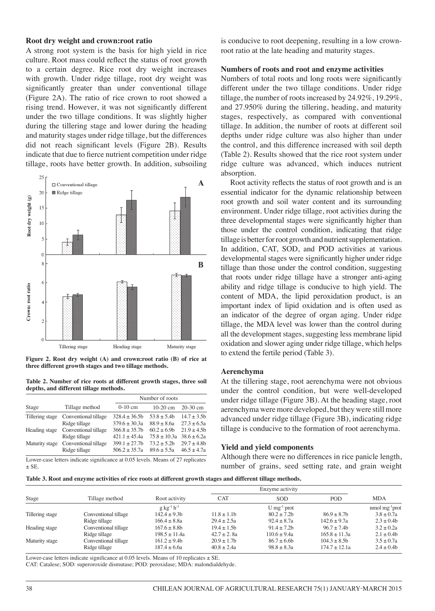### **Root dry weight and crown:root ratio**

A strong root system is the basis for high yield in rice culture. Root mass could reflect the status of root growth to a certain degree. Rice root dry weight increases with growth. Under ridge tillage, root dry weight was significantly greater than under conventional tillage (Figure 2A). The ratio of rice crown to root showed a rising trend. However, it was not significantly different under the two tillage conditions. It was slightly higher during the tillering stage and lower during the heading and maturity stages under ridge tillage, but the differences did not reach significant levels (Figure 2B). Results indicate that due to fierce nutrient competition under ridge tillage, roots have better growth. In addition, subsoiling



**Figure 2. Root dry weight (A) and crown:root ratio (B) of rice at three different growth stages and two tillage methods.**

**Table 2. Number of rice roots at different growth stages, three soil depths, and different tillage methods.**

|                 |                      | Number of roots   |                                  |                 |  |  |
|-----------------|----------------------|-------------------|----------------------------------|-----------------|--|--|
| Stage           | Tillage method       | $0-10$ cm         | $10-20$ cm                       | $20-30$ cm      |  |  |
| Tillering stage | Conventional tillage | $328.4 + 36.5h$   | $53.8 + 5.4h$                    | $14.7 + 3.5h$   |  |  |
|                 | Ridge tillage        | $379.6 + 30.3a$   | $88.9 \pm 8.6a$                  | $27.3 \pm 6.5a$ |  |  |
| Heading stage   | Conventional tillage | $366.8 \pm 35.7b$ | $60.2 \pm 6.9b$                  | $21.9 + 4.5h$   |  |  |
|                 | Ridge tillage        | $421.1 \pm 45.4a$ | $75.8 \pm 10.3a$ $38.6 \pm 6.2a$ |                 |  |  |
| Maturity stage  | Conventional tillage | $399.1 + 27.7h$   | $73.2 + 5.2h$                    | $29.7 + 4.8$ h  |  |  |
|                 | Ridge tillage        | $506.2 \pm 35.7a$ | $89.6 \pm 5.5a$                  | $46.5 + 4.7a$   |  |  |

Lower-case letters indicate significance at 0.05 levels. Means of 27 replicates  $±$  SE.

is conducive to root deepening, resulting in a low crownroot ratio at the late heading and maturity stages.

### **Numbers of roots and root and enzyme activities**

Numbers of total roots and long roots were significantly different under the two tillage conditions. Under ridge tillage, the number of roots increased by 24.92%, 19.29%, and 27.950% during the tillering, heading, and maturity stages, respectively, as compared with conventional tillage. In addition, the number of roots at different soil depths under ridge culture was also higher than under the control, and this difference increased with soil depth (Table 2). Results showed that the rice root system under ridge culture was advanced, which induces nutrient absorption.

Root activity reflects the status of root growth and is an essential indicator for the dynamic relationship between root growth and soil water content and its surrounding environment. Under ridge tillage, root activities during the three developmental stages were significantly higher than those under the control condition, indicating that ridge tillage is better for root growth and nutrient supplementation. In addition, CAT, SOD, and POD activities at various developmental stages were significantly higher under ridge tillage than those under the control condition, suggesting that roots under ridge tillage have a stronger anti-aging ability and ridge tillage is conducive to high yield. The content of MDA, the lipid peroxidation product, is an important index of lipid oxidation and is often used as an indicator of the degree of organ aging. Under ridge tillage, the MDA level was lower than the control during all the development stages, suggesting less membrane lipid oxidation and slower aging under ridge tillage, which helps to extend the fertile period (Table 3).

#### **Aerenchyma**

At the tillering stage, root aerenchyma were not obvious under the control condition, but were well-developed under ridge tillage (Figure 3B). At the heading stage, root aerenchyma were more developed, but they were still more advanced under ridge tillage (Figure 3B), indicating ridge tillage is conducive to the formation of root aerenchyma.

#### **Yield and yield components**

Although there were no differences in rice panicle length, number of grains, seed setting rate, and grain weight

#### **Table 3. Root and enzyme activities of rice roots at different growth stages and different tillage methods.**

| Stage           |                                       |                                                | Enzyme activity                   |                                            |                                     |                                                |
|-----------------|---------------------------------------|------------------------------------------------|-----------------------------------|--------------------------------------------|-------------------------------------|------------------------------------------------|
|                 | Tillage method                        | Root activity                                  | <b>CAT</b>                        | <b>SOD</b>                                 | <b>POD</b>                          | <b>MDA</b>                                     |
| Tillering stage | Conventional tillage                  | $g \text{ kg}^{-1} h^{-1}$<br>$142.4 \pm 9.3b$ | $11.8 \pm 1.1b$                   | $U$ mg <sup>-1</sup> prot<br>$80.2 + 7.2b$ | $86.9 \pm 8.7$ b                    | $nmol$ mg <sup>-1</sup> prot<br>$3.8 \pm 0.7a$ |
|                 | Ridge tillage                         | $166.4 + 8.8a$                                 | $29.4 + 2.5a$                     | $92.4 + 8.7a$                              | $142.6 + 9.7a$                      | $2.3 \pm 0.4b$                                 |
| Heading stage   | Conventional tillage<br>Ridge tillage | $167.6 \pm 8.8$ b<br>$198.5 \pm 11.4a$         | $19.4 + 1.5h$<br>$42.7 \pm 2.8a$  | $91.4 + 7.2b$<br>$110.6 + 9.4a$            | $96.7 + 7.4b$<br>$165.8 + 11.3a$    | $3.2 \pm 0.2a$<br>$2.1 \pm 0.4b$               |
| Maturity stage  | Conventional tillage<br>Ridge tillage | $161.2 + 9.4h$<br>$187.4 \pm 6.6a$             | $20.9 + 1.7$ b<br>$40.8 \pm 2.4a$ | $86.7 + 6.6$<br>$98.8 \pm 8.3a$            | $104.3 + 8.5h$<br>$174.7 \pm 12.1a$ | $3.5 \pm 0.7a$<br>$2.4 \pm 0.4b$               |

Lower-case letters indicate significance at 0.05 levels. Means of 10 replicates  $\pm$  SE

CAT: Catalese; SOD: superoroxide dismutase; POD: peroxidase; MDA: malondialdehyde.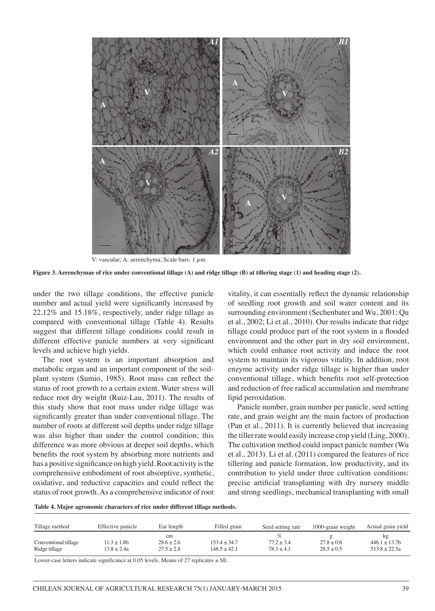

V: vascular; A: aerenchyma. Scale bars:  $1 \mu$ m.

**Figure 3. Aerenchymae of rice under conventional tillage (A) and ridge tillage (B) at tillering stage (1) and heading stage (2).** 

under the two tillage conditions, the effective panicle number and actual yield were significantly increased by 22.12% and 15.18%, respectively, under ridge tillage as compared with conventional tillage (Table 4). Results suggest that different tillage conditions could result in different effective panicle numbers at very significant levels and achieve high yields.

The root system is an important absorption and metabolic organ and an important component of the soilplant system (Sumio, 1985). Root mass can reflect the status of root growth to a certain extent. Water stress will reduce root dry weight (Ruiz-Lau, 2011). The results of this study show that root mass under ridge tillage was significantly greater than under conventional tillage. The number of roots at different soil depths under ridge tillage was also higher than under the control condition; this difference was more obvious at deeper soil depths, which benefits the root system by absorbing more nutrients and has a positive significance on high yield. Root activity is the comprehensive embodiment of root absorptive, synthetic, oxidative, and reductive capacities and could reflect the status of root growth. As a comprehensive indicator of root

vitality, it can essentially reflect the dynamic relationship of seedling root growth and soil water content and its surrounding environment (Sechenbater and Wu, 2001; Qu et al., 2002; Li et al., 2010). Our results indicate that ridge tillage could produce part of the root system in a flooded environment and the other part in dry soil environment, which could enhance root activity and induce the root system to maintain its vigorous vitality. In addition, root enzyme activity under ridge tillage is higher than under conventional tillage, which benefits root self-protection and reduction of free radical accumulation and membrane lipid peroxidation.

Panicle number, grain number per panicle, seed setting rate, and grain weight are the main factors of production (Pan et al., 2011). It is currently believed that increasing the tiller rate would easily increase crop yield (Ling, 2000). The cultivation method could impact panicle number (Wu et al., 2013). Li et al. (2011) compared the features of rice tillering and panicle formation, low productivity, and its contribution to yield under three cultivation conditions: precise artificial transplanting with dry nursery middle and strong seedlings, mechanical transplanting with small

|  |  | Table 4. Major agronomic characters of rice under different tillage methods. |
|--|--|------------------------------------------------------------------------------|
|  |  |                                                                              |

| Tillage method                        | Effective panicle                | Ear length                         | Filled grain                     | Seed setting rate                 | 1000-grain weight            | Actual grain yield                          |
|---------------------------------------|----------------------------------|------------------------------------|----------------------------------|-----------------------------------|------------------------------|---------------------------------------------|
| Conventional tillage<br>Ridge tillage | $11.3 \pm 1.8b$<br>$13.8 + 2.4a$ | cm<br>$28.6 + 2.6$<br>$27.5 + 2.8$ | $153.4 + 34.7$<br>$148.5 + 42.1$ | %<br>$77.2 + 3.4$<br>$78.3 + 4.1$ | $27.8 + 0.6$<br>$28.5 + 0.5$ | Κg<br>$446.1 \pm 13.7$ b<br>$513.8 + 22.5a$ |

Lower-case letters indicate significance at 0.05 levels. Means of 27 replicates  $\pm$  SE.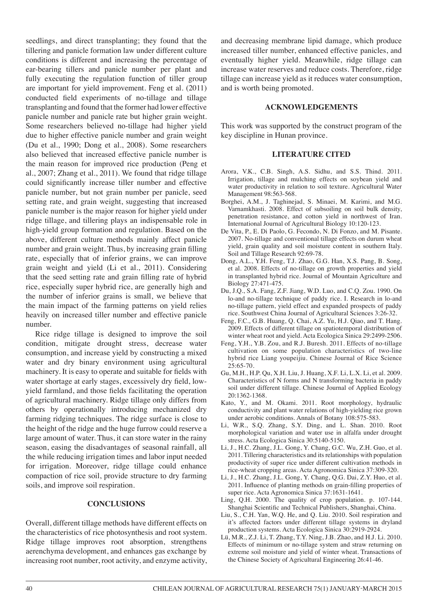seedlings, and direct transplanting; they found that the tillering and panicle formation law under different culture conditions is different and increasing the percentage of ear-bearing tillers and panicle number per plant and fully executing the regulation function of tiller group are important for yield improvement. Feng et al. (2011) conducted field experiments of no-tillage and tillage transplanting and found that the former had lower effective panicle number and panicle rate but higher grain weight. Some researchers believed no-tillage had higher yield due to higher effective panicle number and grain weight (Du et al., 1990; Dong et al., 2008). Some researchers also believed that increased effective panicle number is the main reason for improved rice production (Peng et al., 2007; Zhang et al., 2011). We found that ridge tillage could significantly increase tiller number and effective panicle number, but not grain number per panicle, seed setting rate, and grain weight, suggesting that increased panicle number is the major reason for higher yield under ridge tillage, and tillering plays an indispensable role in high-yield group formation and regulation. Based on the above, different culture methods mainly affect panicle number and grain weight. Thus, by increasing grain filling rate, especially that of inferior grains, we can improve grain weight and yield (Li et al., 2011). Considering that the seed setting rate and grain filling rate of hybrid rice, especially super hybrid rice, are generally high and the number of inferior grains is small, we believe that the main impact of the farming patterns on yield relies heavily on increased tiller number and effective panicle number.

Rice ridge tillage is designed to improve the soil condition, mitigate drought stress, decrease water consumption, and increase yield by constructing a mixed water and dry binary environment using agricultural machinery. It is easy to operate and suitable for fields with water shortage at early stages, excessively dry field, lowyield farmland, and those fields facilitating the operation of agricultural machinery. Ridge tillage only differs from others by operationally introducing mechanized dry farming ridging techniques. The ridge surface is close to the height of the ridge and the huge furrow could reserve a large amount of water. Thus, it can store water in the rainy season, easing the disadvantages of seasonal rainfall, all the while reducing irrigation times and labor input needed for irrigation. Moreover, ridge tillage could enhance compaction of rice soil, provide structure to dry farming soils, and improve soil respiration.

### **CONCLUSIONS**

Overall, different tillage methods have different effects on the characteristics of rice photosynthesis and root system. Ridge tillage improves root absorption, strengthens aerenchyma development, and enhances gas exchange by increasing root number, root activity, and enzyme activity, and decreasing membrane lipid damage, which produce increased tiller number, enhanced effective panicles, and eventually higher yield. Meanwhile, ridge tillage can increase water reserves and reduce costs. Therefore, ridge tillage can increase yield as it reduces water consumption, and is worth being promoted.

## **ACKNOWLEDGEMENTS**

This work was supported by the construct program of the key discipline in Hunan province.

# **LITERATURE CITED**

- Arora, V.K., C.B. Singh, A.S. Sidhu, and S.S. Thind. 2011. Irrigation, tillage and mulching effects on soybean yield and water productivity in relation to soil texture. Agricultural Water Management 98:563-568.
- Borghei, A.M., J. Taghinejad, S. Minaei, M. Karimi, and M.G. Varnamkhasti. 2008. Effect of subsoiling on soil bulk density, penetration resistance, and cotton yield in northwest of Iran. International Journal of Agricultural Biology 10:120-123.
- De Vita, P., E. Di Paolo, G. Fecondo, N. Di Fonzo, and M. Pisante. 2007. No-tillage and conventional tillage effects on durum wheat yield, grain quality and soil moisture content in southern Italy. Soil and Tillage Research 92:69-78.
- Dong, A.L., Y.H. Feng, T.J. Zhao, G.G. Han, X.S. Pang, B. Song, et al. 2008. Effects of no-tillage on growth properties and yield in transplanted hybrid rice. Journal of Mountain Agriculture and Biology 27:471-475.
- Du, J.Q., S.A. Fang, Z.F. Jiang, W.D. Luo, and C.Q. Zou. 1990. On lo-and no-tillage technique of paddy rice. I. Research in lo-and no-tillage pattern, yield effect and expanded prospects of paddy rice. Southwest China Journal of Agricultural Sciences 3:26-32.
- Feng, F.C., G.B. Huang, Q. Chai, A.Z. Yu, H.J. Qiao, and T. Hang. 2009. Effects of different tillage on spatiotemporal distribution of winter wheat root and yield. Acta Ecologica Sinica 29:2499-2506.
- Feng, Y.H., Y.B. Zou, and R.J. Buresh. 2011. Effects of no-tillage cultivation on some population characteristics of two-line hybrid rice Liang youpeijiu. Chinese Journal of Rice Science 25:65-70.
- Gu, M.H., H.P. Qu, X.H. Liu, J. Huang, X.F. Li, L.X. Li, et al. 2009. Characteristics of N forms and N transforming bacteria in paddy soil under different tillage. Chinese Journal of Applied Ecology 20:1362-1368.
- Kato, Y., and M. Okami. 2011. Root morphology, hydraulic conductivity and plant water relations of high-yielding rice grown under aerobic conditions. Annals of Botany 108:575-583.
- Li, W.R., S.Q. Zhang, S.Y. Ding, and L. Shan. 2010. Root morphological variation and water use in alfalfa under drought stress. Acta Ecologica Sinica 30:5140-5150.
- Li, J., H.C. Zhang, J.L. Gong, Y. Chang, G.C. Wu, Z.H. Guo, et al. 2011. Tillering characteristics and its relationships with population productivity of super rice under different cultivation methods in rice-wheat cropping areas. Acta Agronomica Sinica 37:309-320.
- Li, J., H.C. Zhang, J.L. Gong, Y. Chang, Q.G. Dai, Z.Y. Huo, et al. 2011. Influence of planting methods on grain-filling properties of super rice. Acta Agronomica Sinica 37:1631-1641.
- Ling, Q.H. 2000. The quality of crop population. p. 107-144. Shanghai Scientific and Technical Publishers, Shanghai, China.
- Liu, S., C.H. Yan, W.Q. He, and Q. Liu. 2010. Soil respiration and it's affected factors under different tillage systems in dryland production systems. Acta Ecologica Sinica 30:2919-2924.
- Lü, M.R., Z.J. Li, T. Zhang, T.Y. Ning, J.B. Zhao, and H.J. Li. 2010. Effects of minimum or no-tillage system and straw returning on extreme soil moisture and yield of winter wheat. Transactions of the Chinese Society of Agricultural Engineering 26:41-46.